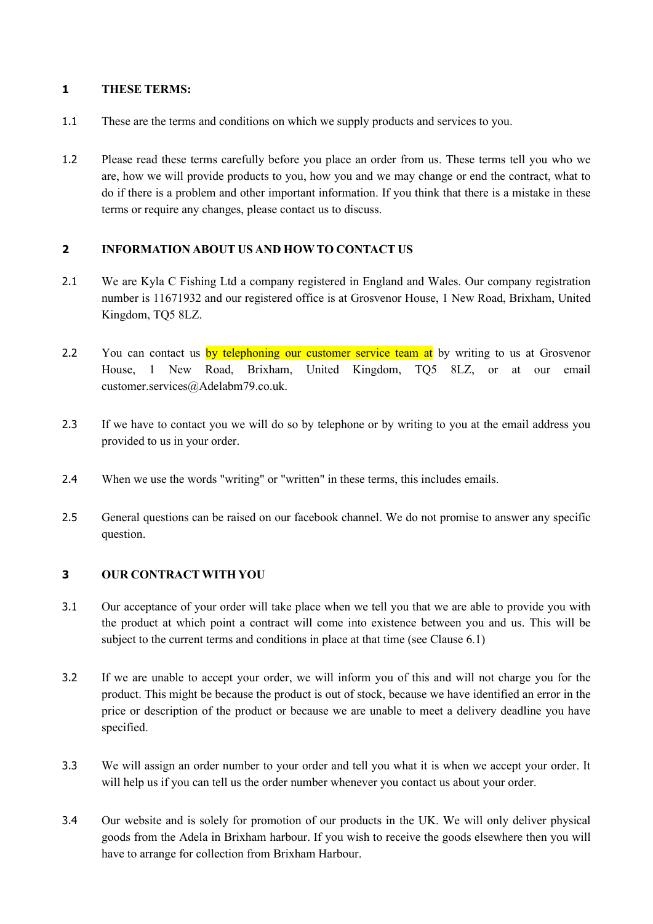## **1 THESE TERMS:**

- 1.1 These are the terms and conditions on which we supply products and services to you.
- 1.2 Please read these terms carefully before you place an order from us. These terms tell you who we are, how we will provide products to you, how you and we may change or end the contract, what to do if there is a problem and other important information. If you think that there is a mistake in these terms or require any changes, please contact us to discuss.

## **2 INFORMATION ABOUT US AND HOWTO CONTACT US**

- 2.1 We are Kyla C Fishing Ltd a company registered in England and Wales. Our company registration number is 11671932 and our registered office is at Grosvenor House, 1 New Road, Brixham, United Kingdom, TQ5 8LZ.
- 2.2 You can contact us by telephoning our customer service team at by writing to us at Grosvenor House, 1 New Road, Brixham, United Kingdom, TQ5 8LZ, or at our email customer.services@Adelabm79.co.uk.
- 2.3 If we have to contact you we will do so by telephone or by writing to you at the email address you provided to us in your order.
- 2.4 When we use the words "writing" or "written" in these terms, this includes emails.
- 2.5 General questions can be raised on our facebook channel. We do not promise to answer any specific question.

# **3 OUR CONTRACT WITH YOU**

- 3.1 Our acceptance of your order will take place when we tell you that we are able to provide you with the product at which point a contract will come into existence between you and us. This will be subject to the current terms and conditions in place at that time (see Clause 6.1)
- 3.2 If we are unable to accept your order, we will inform you of this and will not charge you for the product. This might be because the product is out of stock, because we have identified an error in the price or description of the product or because we are unable to meet a delivery deadline you have specified.
- 3.3 We will assign an order number to your order and tell you what it is when we accept your order. It will help us if you can tell us the order number whenever you contact us about your order.
- 3.4 Our website and is solely for promotion of our products in the UK. We will only deliver physical goods from the Adela in Brixham harbour. If you wish to receive the goods elsewhere then you will have to arrange for collection from Brixham Harbour.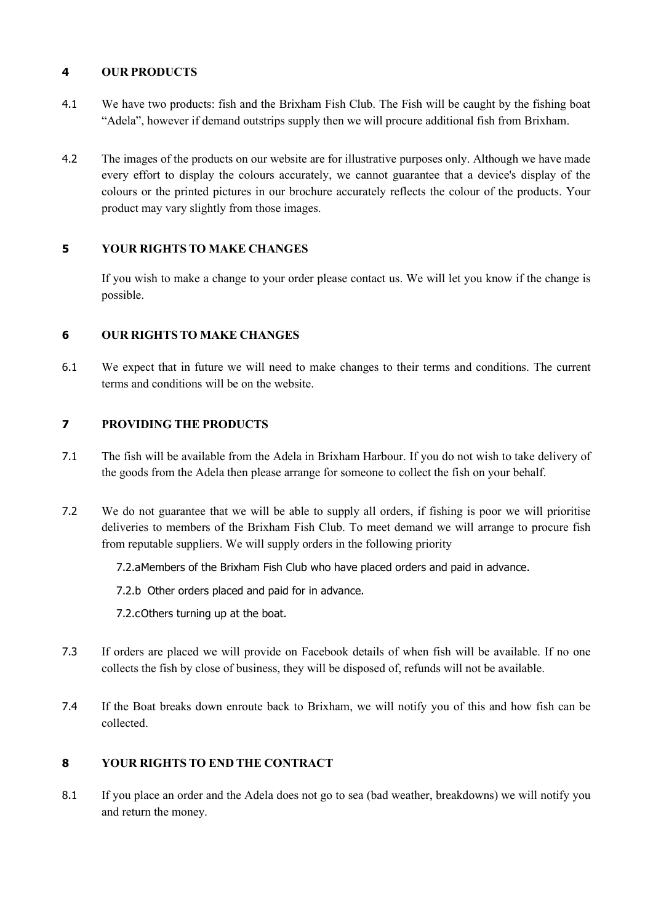## **4 OUR PRODUCTS**

- 4.1 We have two products: fish and the Brixham Fish Club. The Fish will be caught by the fishing boat "Adela", however if demand outstrips supply then we will procure additional fish from Brixham.
- 4.2 The images of the products on our website are for illustrative purposes only. Although we have made every effort to display the colours accurately, we cannot guarantee that a device's display of the colours or the printed pictures in our brochure accurately reflects the colour of the products. Your product may vary slightly from those images.

## **5 YOUR RIGHTS TO MAKE CHANGES**

If you wish to make a change to your order please contact us. We will let you know if the change is possible.

## **6 OUR RIGHTS TO MAKE CHANGES**

6.1 We expect that in future we will need to make changes to their terms and conditions. The current terms and conditions will be on the website.

# **7 PROVIDING THE PRODUCTS**

- 7.1 The fish will be available from the Adela in Brixham Harbour. If you do not wish to take delivery of the goods from the Adela then please arrange for someone to collect the fish on your behalf.
- 7.2 We do not guarantee that we will be able to supply all orders, if fishing is poor we will prioritise deliveries to members of the Brixham Fish Club. To meet demand we will arrange to procure fish from reputable suppliers. We will supply orders in the following priority
	- 7.2.aMembers of the Brixham Fish Club who have placed orders and paid in advance.
	- 7.2.b Other orders placed and paid for in advance.
	- 7.2.cOthers turning up at the boat.
- 7.3 If orders are placed we will provide on Facebook details of when fish will be available. If no one collects the fish by close of business, they will be disposed of, refunds will not be available.
- 7.4 If the Boat breaks down enroute back to Brixham, we will notify you of this and how fish can be collected.

# **8 YOUR RIGHTS TO END THE CONTRACT**

8.1 If you place an order and the Adela does not go to sea (bad weather, breakdowns) we will notify you and return the money.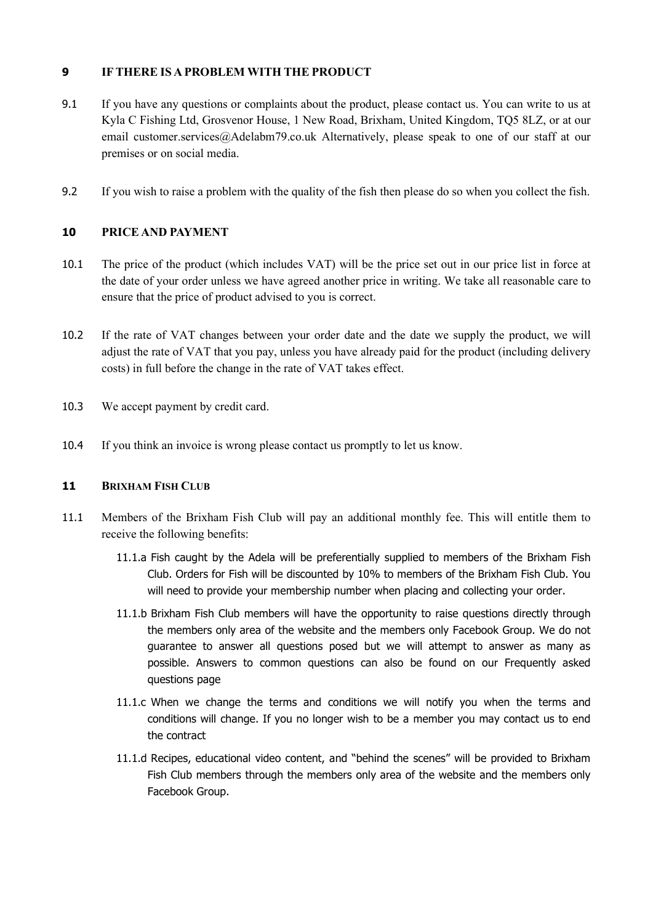### **9 IFTHERE IS A PROBLEM WITH THE PRODUCT**

- 9.1 If you have any questions or complaints about the product, please contact us. You can write to us at Kyla C Fishing Ltd, Grosvenor House, 1 New Road, Brixham, United Kingdom, TQ5 8LZ, or at our email customer.services@Adelabm79.co.uk Alternatively, please speak to one of our staff at our premises or on social media.
- 9.2 If you wish to raise a problem with the quality of the fish then please do so when you collect the fish.

### **10 PRICE AND PAYMENT**

- 10.1 The price of the product (which includes VAT) will be the price set out in our price list in force at the date of your order unless we have agreed another price in writing. We take all reasonable care to ensure that the price of product advised to you is correct.
- 10.2 If the rate of VAT changes between your order date and the date we supply the product, we will adjust the rate of VAT that you pay, unless you have already paid for the product (including delivery costs) in full before the change in the rate of VAT takes effect.
- 10.3 We accept payment by credit card.
- 10.4 If you think an invoice is wrong please contact us promptly to let us know.

#### **11 BRIXHAM FISH CLUB**

- 11.1 Members of the Brixham Fish Club will pay an additional monthly fee. This will entitle them to receive the following benefits:
	- 11.1.a Fish caught by the Adela will be preferentially supplied to members of the Brixham Fish Club. Orders for Fish will be discounted by 10% to members of the Brixham Fish Club. You will need to provide your membership number when placing and collecting your order.
	- 11.1.b Brixham Fish Club members will have the opportunity to raise questions directly through the members only area of the website and the members only Facebook Group. We do not guarantee to answer all questions posed but we will attempt to answer as many as possible. Answers to common questions can also be found on our Frequently asked questions page
	- 11.1.c When we change the terms and conditions we will notify you when the terms and conditions will change. If you no longer wish to be a member you may contact us to end the contract
	- 11.1.d Recipes, educational video content, and "behind the scenes" will be provided to Brixham Fish Club members through the members only area of the website and the members only Facebook Group.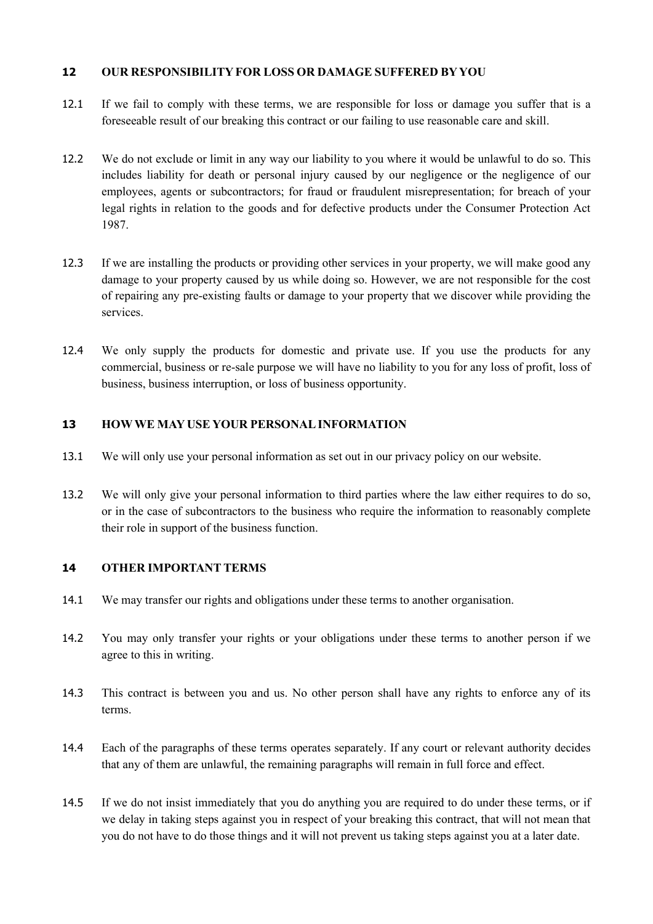### **12 OUR RESPONSIBILITY FOR LOSS OR DAMAGE SUFFERED BYYOU**

- 12.1 If we fail to comply with these terms, we are responsible for loss or damage you suffer that is a foreseeable result of our breaking this contract or our failing to use reasonable care and skill.
- 12.2 We do not exclude or limit in any way our liability to you where it would be unlawful to do so. This includes liability for death or personal injury caused by our negligence or the negligence of our employees, agents or subcontractors; for fraud or fraudulent misrepresentation; for breach of your legal rights in relation to the goods and for defective products under the Consumer Protection Act 1987.
- 12.3 If we are installing the products or providing other services in your property, we will make good any damage to your property caused by us while doing so. However, we are not responsible for the cost of repairing any pre-existing faults or damage to your property that we discover while providing the services.
- 12.4 We only supply the products for domestic and private use. If you use the products for any commercial, business or re-sale purpose we will have no liability to you for any loss of profit, loss of business, business interruption, or loss of business opportunity.

### **13 HOWWE MAY USE YOUR PERSONALINFORMATION**

- 13.1 We will only use your personal information as set out in our privacy policy on our website.
- 13.2 We will only give your personal information to third parties where the law either requires to do so, or in the case of subcontractors to the business who require the information to reasonably complete their role in support of the business function.

#### **14 OTHER IMPORTANT TERMS**

- 14.1 We may transfer our rights and obligations under these terms to another organisation.
- 14.2 You may only transfer your rights or your obligations under these terms to another person if we agree to this in writing.
- 14.3 This contract is between you and us. No other person shall have any rights to enforce any of its terms.
- 14.4 Each of the paragraphs of these terms operates separately. If any court or relevant authority decides that any of them are unlawful, the remaining paragraphs will remain in full force and effect.
- 14.5 If we do not insist immediately that you do anything you are required to do under these terms, or if we delay in taking steps against you in respect of your breaking this contract, that will not mean that you do not have to do those things and it will not prevent us taking steps against you at a later date.